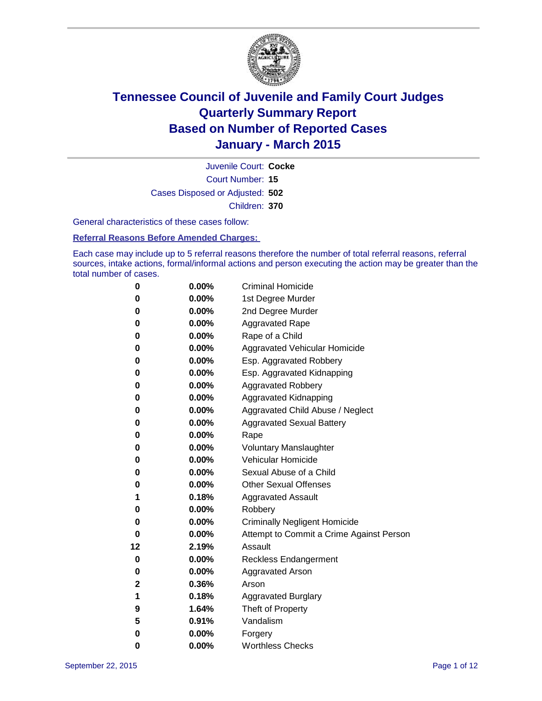

Court Number: **15** Juvenile Court: **Cocke** Cases Disposed or Adjusted: **502** Children: **370**

General characteristics of these cases follow:

#### **Referral Reasons Before Amended Charges:**

Each case may include up to 5 referral reasons therefore the number of total referral reasons, referral sources, intake actions, formal/informal actions and person executing the action may be greater than the total number of cases.

| 0  | 0.00%    | <b>Criminal Homicide</b>                 |
|----|----------|------------------------------------------|
| 0  | 0.00%    | 1st Degree Murder                        |
| 0  | 0.00%    | 2nd Degree Murder                        |
| 0  | $0.00\%$ | <b>Aggravated Rape</b>                   |
| 0  | $0.00\%$ | Rape of a Child                          |
| 0  | 0.00%    | Aggravated Vehicular Homicide            |
| 0  | 0.00%    | Esp. Aggravated Robbery                  |
| 0  | 0.00%    | Esp. Aggravated Kidnapping               |
| 0  | 0.00%    | <b>Aggravated Robbery</b>                |
| 0  | 0.00%    | <b>Aggravated Kidnapping</b>             |
| 0  | 0.00%    | Aggravated Child Abuse / Neglect         |
| 0  | 0.00%    | <b>Aggravated Sexual Battery</b>         |
| 0  | 0.00%    | Rape                                     |
| 0  | $0.00\%$ | <b>Voluntary Manslaughter</b>            |
| 0  | 0.00%    | <b>Vehicular Homicide</b>                |
| 0  | 0.00%    | Sexual Abuse of a Child                  |
| 0  | 0.00%    | <b>Other Sexual Offenses</b>             |
| 1  | 0.18%    | <b>Aggravated Assault</b>                |
| 0  | 0.00%    | Robbery                                  |
| 0  | 0.00%    | <b>Criminally Negligent Homicide</b>     |
| 0  | 0.00%    | Attempt to Commit a Crime Against Person |
| 12 | 2.19%    | Assault                                  |
| 0  | 0.00%    | <b>Reckless Endangerment</b>             |
| 0  | $0.00\%$ | <b>Aggravated Arson</b>                  |
| 2  | 0.36%    | Arson                                    |
| 1  | 0.18%    | <b>Aggravated Burglary</b>               |
| 9  | 1.64%    | Theft of Property                        |
| 5  | 0.91%    | Vandalism                                |
| 0  | 0.00%    | Forgery                                  |
| 0  | 0.00%    | <b>Worthless Checks</b>                  |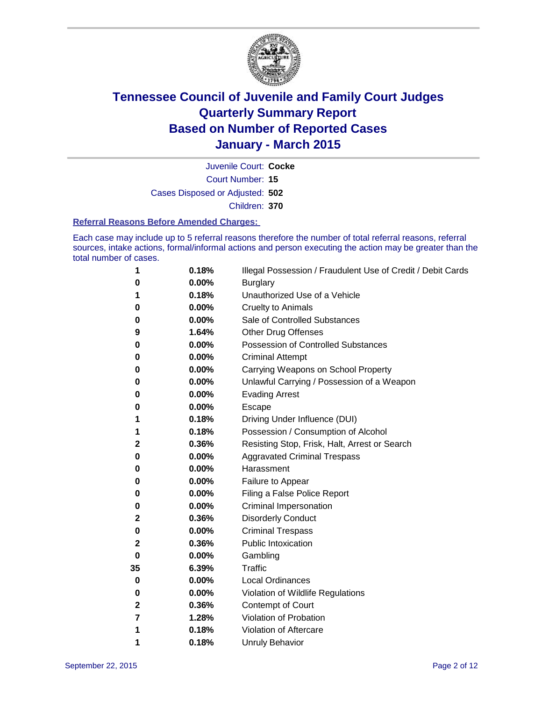

Court Number: **15** Juvenile Court: **Cocke** Cases Disposed or Adjusted: **502** Children: **370**

#### **Referral Reasons Before Amended Charges:**

Each case may include up to 5 referral reasons therefore the number of total referral reasons, referral sources, intake actions, formal/informal actions and person executing the action may be greater than the total number of cases.

| 1            | 0.18% | Illegal Possession / Fraudulent Use of Credit / Debit Cards |
|--------------|-------|-------------------------------------------------------------|
| 0            | 0.00% | <b>Burglary</b>                                             |
| 1            | 0.18% | Unauthorized Use of a Vehicle                               |
| 0            | 0.00% | Cruelty to Animals                                          |
| 0            | 0.00% | Sale of Controlled Substances                               |
| 9            | 1.64% | Other Drug Offenses                                         |
| 0            | 0.00% | <b>Possession of Controlled Substances</b>                  |
| 0            | 0.00% | <b>Criminal Attempt</b>                                     |
| 0            | 0.00% | Carrying Weapons on School Property                         |
| 0            | 0.00% | Unlawful Carrying / Possession of a Weapon                  |
| 0            | 0.00% | <b>Evading Arrest</b>                                       |
| 0            | 0.00% | Escape                                                      |
| 1            | 0.18% | Driving Under Influence (DUI)                               |
| 1            | 0.18% | Possession / Consumption of Alcohol                         |
| $\mathbf{2}$ | 0.36% | Resisting Stop, Frisk, Halt, Arrest or Search               |
| 0            | 0.00% | <b>Aggravated Criminal Trespass</b>                         |
| 0            | 0.00% | Harassment                                                  |
| 0            | 0.00% | Failure to Appear                                           |
| 0            | 0.00% | Filing a False Police Report                                |
| 0            | 0.00% | <b>Criminal Impersonation</b>                               |
| 2            | 0.36% | <b>Disorderly Conduct</b>                                   |
| 0            | 0.00% | <b>Criminal Trespass</b>                                    |
| 2            | 0.36% | <b>Public Intoxication</b>                                  |
| $\bf{0}$     | 0.00% | Gambling                                                    |
| 35           | 6.39% | <b>Traffic</b>                                              |
| 0            | 0.00% | <b>Local Ordinances</b>                                     |
| 0            | 0.00% | Violation of Wildlife Regulations                           |
| 2            | 0.36% | Contempt of Court                                           |
| 7            | 1.28% | Violation of Probation                                      |
| 1            | 0.18% | Violation of Aftercare                                      |
| 1            | 0.18% | <b>Unruly Behavior</b>                                      |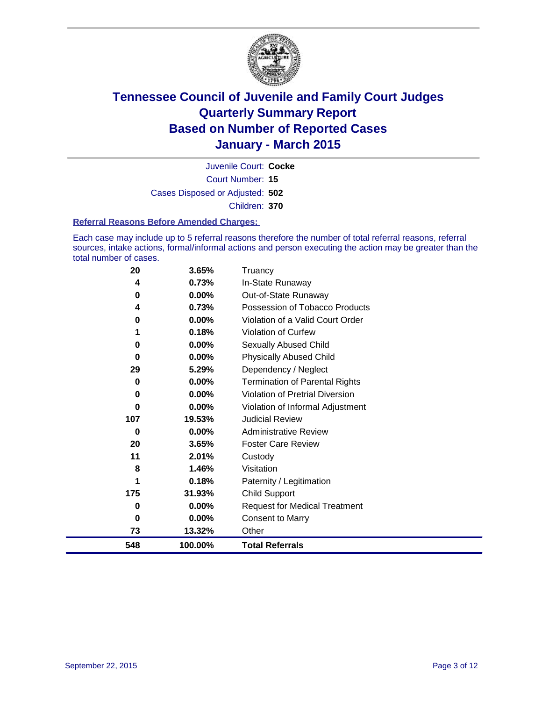

Court Number: **15** Juvenile Court: **Cocke** Cases Disposed or Adjusted: **502** Children: **370**

#### **Referral Reasons Before Amended Charges:**

Each case may include up to 5 referral reasons therefore the number of total referral reasons, referral sources, intake actions, formal/informal actions and person executing the action may be greater than the total number of cases.

| 20  | 3.65%   | Truancy                                |
|-----|---------|----------------------------------------|
| 4   | 0.73%   | In-State Runaway                       |
| 0   | 0.00%   | Out-of-State Runaway                   |
| 4   | 0.73%   | Possession of Tobacco Products         |
| 0   | 0.00%   | Violation of a Valid Court Order       |
| 1   | 0.18%   | Violation of Curfew                    |
| 0   | 0.00%   | Sexually Abused Child                  |
| 0   | 0.00%   | <b>Physically Abused Child</b>         |
| 29  | 5.29%   | Dependency / Neglect                   |
| 0   | 0.00%   | <b>Termination of Parental Rights</b>  |
| 0   | 0.00%   | <b>Violation of Pretrial Diversion</b> |
| 0   | 0.00%   | Violation of Informal Adjustment       |
| 107 | 19.53%  | <b>Judicial Review</b>                 |
| 0   | 0.00%   | <b>Administrative Review</b>           |
| 20  | 3.65%   | <b>Foster Care Review</b>              |
| 11  | 2.01%   | Custody                                |
| 8   | 1.46%   | Visitation                             |
| 1   | 0.18%   | Paternity / Legitimation               |
| 175 | 31.93%  | <b>Child Support</b>                   |
| 0   | 0.00%   | <b>Request for Medical Treatment</b>   |
| 0   | 0.00%   | <b>Consent to Marry</b>                |
| 73  | 13.32%  | Other                                  |
| 548 | 100.00% | <b>Total Referrals</b>                 |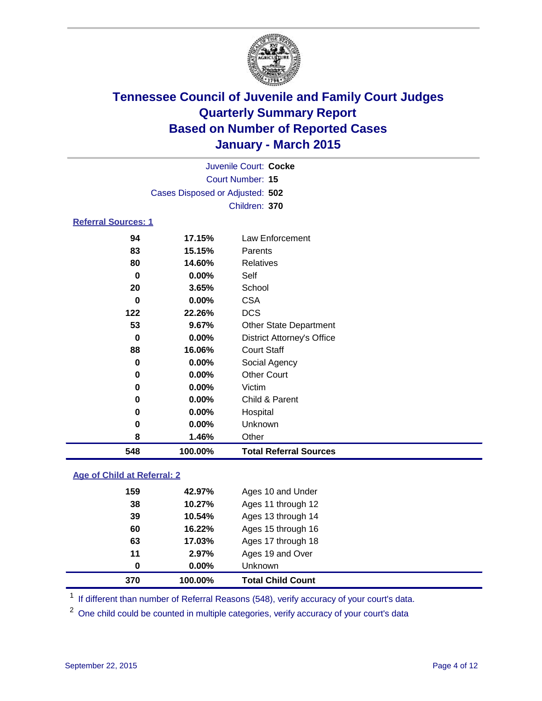

|                            | Juvenile Court: Cocke           |                 |  |  |  |
|----------------------------|---------------------------------|-----------------|--|--|--|
|                            | Court Number: 15                |                 |  |  |  |
|                            | Cases Disposed or Adjusted: 502 |                 |  |  |  |
|                            |                                 | Children: 370   |  |  |  |
| <b>Referral Sources: 1</b> |                                 |                 |  |  |  |
| 94                         | 17.15%                          | Law Enforcement |  |  |  |
| 83                         | 15.15%                          | Parents         |  |  |  |
| 80                         | 14.60%                          | Relatives       |  |  |  |
| 0                          | $0.00\%$                        | Self            |  |  |  |
| ንበ                         | $2$ $650/$                      | <b>School</b>   |  |  |  |

| 548 | 100.00%  | <b>Total Referral Sources</b>     |
|-----|----------|-----------------------------------|
| 8   | 1.46%    | Other                             |
| 0   | 0.00%    | Unknown                           |
| 0   | $0.00\%$ | Hospital                          |
| 0   | $0.00\%$ | Child & Parent                    |
| 0   | $0.00\%$ | Victim                            |
| 0   | 0.00%    | <b>Other Court</b>                |
| 0   | $0.00\%$ | Social Agency                     |
| 88  | 16.06%   | <b>Court Staff</b>                |
| 0   | 0.00%    | <b>District Attorney's Office</b> |
| 53  | 9.67%    | <b>Other State Department</b>     |
| 122 | 22.26%   | <b>DCS</b>                        |
| 0   | 0.00%    | <b>CSA</b>                        |
| 20  | 3.65%    | School                            |

### **Age of Child at Referral: 2**

| 370      | 100.00% | <b>Total Child Count</b> |
|----------|---------|--------------------------|
| $\bf{0}$ | 0.00%   | Unknown                  |
| 11       | 2.97%   | Ages 19 and Over         |
| 63       | 17.03%  | Ages 17 through 18       |
| 60       | 16.22%  | Ages 15 through 16       |
| 39       | 10.54%  | Ages 13 through 14       |
| 38       | 10.27%  | Ages 11 through 12       |
| 159      | 42.97%  | Ages 10 and Under        |

<sup>1</sup> If different than number of Referral Reasons (548), verify accuracy of your court's data.

One child could be counted in multiple categories, verify accuracy of your court's data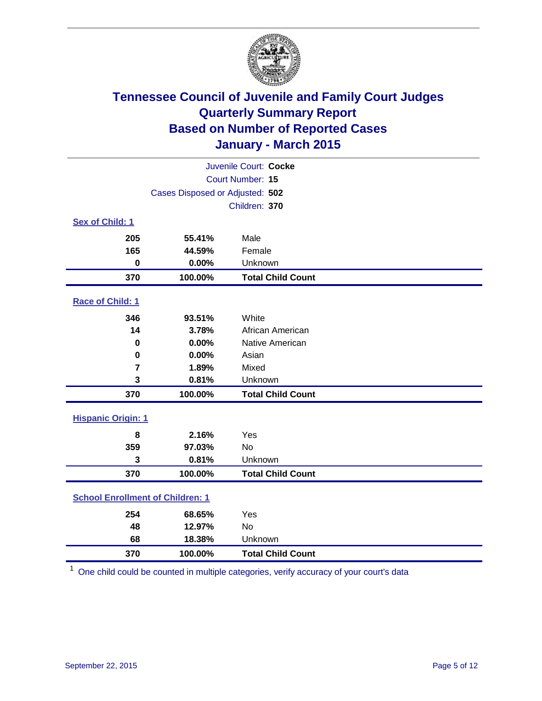

| Juvenile Court: Cocke                   |                                 |                          |  |  |
|-----------------------------------------|---------------------------------|--------------------------|--|--|
|                                         | Court Number: 15                |                          |  |  |
|                                         | Cases Disposed or Adjusted: 502 |                          |  |  |
|                                         |                                 | Children: 370            |  |  |
| Sex of Child: 1                         |                                 |                          |  |  |
| 205                                     | 55.41%                          | Male                     |  |  |
| 165                                     | 44.59%                          | Female                   |  |  |
| $\bf{0}$                                | 0.00%                           | Unknown                  |  |  |
| 370                                     | 100.00%                         | <b>Total Child Count</b> |  |  |
| Race of Child: 1                        |                                 |                          |  |  |
| 346                                     | 93.51%                          | White                    |  |  |
| 14                                      | 3.78%                           | African American         |  |  |
| 0                                       | 0.00%                           | Native American          |  |  |
| $\bf{0}$                                | 0.00%                           | Asian                    |  |  |
| $\overline{7}$                          | 1.89%                           | Mixed                    |  |  |
| 3                                       | 0.81%                           | Unknown                  |  |  |
| 370                                     | 100.00%                         | <b>Total Child Count</b> |  |  |
| <b>Hispanic Origin: 1</b>               |                                 |                          |  |  |
| 8                                       | 2.16%                           | Yes                      |  |  |
| 359                                     | 97.03%                          | <b>No</b>                |  |  |
| 3                                       | 0.81%                           | Unknown                  |  |  |
| 370                                     | 100.00%                         | <b>Total Child Count</b> |  |  |
| <b>School Enrollment of Children: 1</b> |                                 |                          |  |  |
| 254                                     | 68.65%                          | Yes                      |  |  |
| 48                                      | 12.97%                          | <b>No</b>                |  |  |
| 68                                      | 18.38%                          | Unknown                  |  |  |
| 370                                     | 100.00%                         | <b>Total Child Count</b> |  |  |

One child could be counted in multiple categories, verify accuracy of your court's data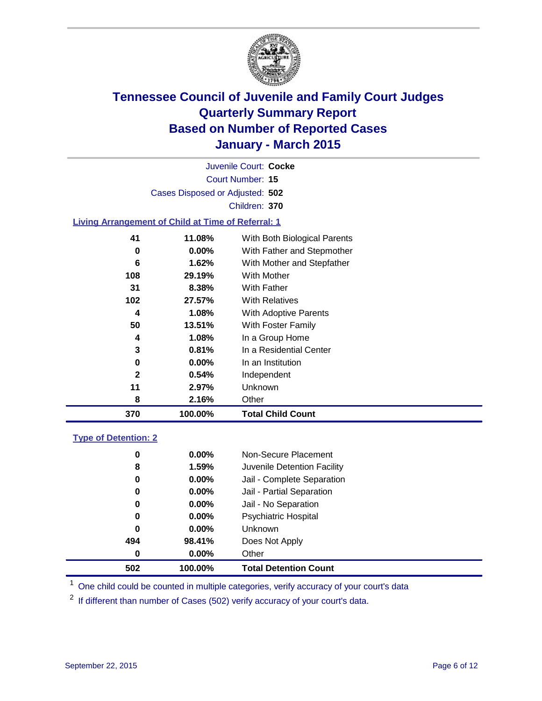

Court Number: **15** Juvenile Court: **Cocke** Cases Disposed or Adjusted: **502** Children: **370**

### **Living Arrangement of Child at Time of Referral: 1**

| 370 | 100.00%      |                      | <b>Total Child Count</b>     |
|-----|--------------|----------------------|------------------------------|
|     | 8            | 2.16%<br>Other       |                              |
|     | 11           | Unknown<br>2.97%     |                              |
|     | $\mathbf{2}$ | 0.54%                | Independent                  |
|     | 0            | $0.00\%$             | In an Institution            |
|     | 3            | 0.81%                | In a Residential Center      |
|     | 4            | 1.08%                | In a Group Home              |
|     | 50<br>13.51% |                      | With Foster Family           |
|     | 4            | 1.08%                | With Adoptive Parents        |
| 102 | 27.57%       |                      | <b>With Relatives</b>        |
|     | 31           | 8.38%<br>With Father |                              |
| 108 | 29.19%       |                      | <b>With Mother</b>           |
|     | 6            | 1.62%                | With Mother and Stepfather   |
|     | 0            | $0.00\%$             | With Father and Stepmother   |
|     | 41<br>11.08% |                      | With Both Biological Parents |
|     |              |                      |                              |

### **Type of Detention: 2**

| 0        | $0.00\%$ | Non-Secure Placement         |
|----------|----------|------------------------------|
| 8        | 1.59%    | Juvenile Detention Facility  |
| 0        | $0.00\%$ | Jail - Complete Separation   |
| 0        | 0.00%    | Jail - Partial Separation    |
| 0        | $0.00\%$ | Jail - No Separation         |
| 0        | $0.00\%$ | <b>Psychiatric Hospital</b>  |
| 0        | $0.00\%$ | <b>Unknown</b>               |
| 494      | 98.41%   | Does Not Apply               |
| $\bf{0}$ | $0.00\%$ | Other                        |
| 502      | 100.00%  | <b>Total Detention Count</b> |

<sup>1</sup> One child could be counted in multiple categories, verify accuracy of your court's data

If different than number of Cases (502) verify accuracy of your court's data.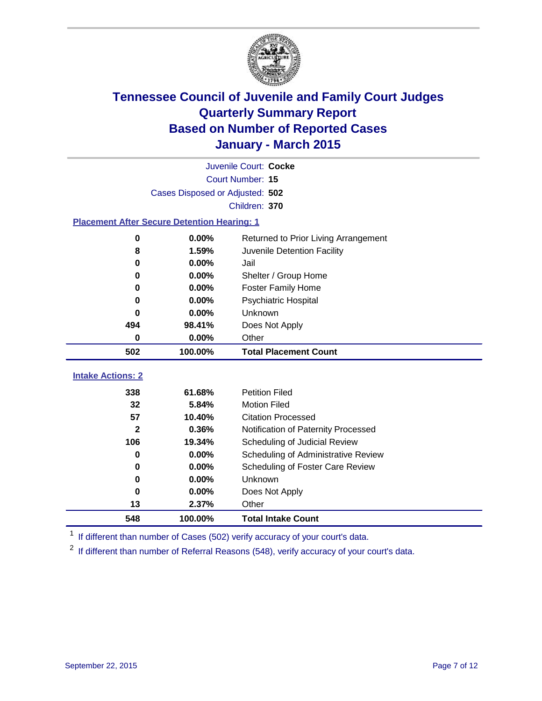

| Juvenile Court: Cocke                              |                                              |                                      |  |  |  |
|----------------------------------------------------|----------------------------------------------|--------------------------------------|--|--|--|
|                                                    | <b>Court Number: 15</b>                      |                                      |  |  |  |
|                                                    | Cases Disposed or Adjusted: 502              |                                      |  |  |  |
|                                                    |                                              | Children: 370                        |  |  |  |
| <b>Placement After Secure Detention Hearing: 1</b> |                                              |                                      |  |  |  |
| $\bf{0}$                                           | 0.00%                                        | Returned to Prior Living Arrangement |  |  |  |
| 8                                                  | 1.59%                                        | Juvenile Detention Facility          |  |  |  |
| 0                                                  | $0.00\%$                                     | Jail                                 |  |  |  |
| $\bf{0}$                                           | 0.00%                                        | Shelter / Group Home                 |  |  |  |
| $\bf{0}$                                           | $0.00\%$<br><b>Foster Family Home</b>        |                                      |  |  |  |
| 0.00%<br>Psychiatric Hospital<br>0                 |                                              |                                      |  |  |  |
| $0.00\%$<br>Unknown<br>O                           |                                              |                                      |  |  |  |
| 494                                                | 98.41%                                       | Does Not Apply                       |  |  |  |
| $\mathbf 0$                                        | 0.00%                                        | Other                                |  |  |  |
| 502                                                | 100.00%                                      | <b>Total Placement Count</b>         |  |  |  |
| <b>Intake Actions: 2</b>                           |                                              |                                      |  |  |  |
| 338                                                | 61.68%<br><b>Petition Filed</b>              |                                      |  |  |  |
| 32                                                 | <b>Motion Filed</b><br>5.84%                 |                                      |  |  |  |
| 57                                                 | <b>Citation Processed</b><br>10.40%          |                                      |  |  |  |
| $\mathbf{2}$                                       | 0.36%<br>Notification of Paternity Processed |                                      |  |  |  |
| 106                                                | 19.34%                                       | Scheduling of Judicial Review        |  |  |  |
| 0                                                  | $0.00\%$                                     | Scheduling of Administrative Review  |  |  |  |
| 0                                                  | 0.00%<br>Scheduling of Foster Care Review    |                                      |  |  |  |
| 0<br>0.00%<br>Unknown                              |                                              |                                      |  |  |  |

<sup>1</sup> If different than number of Cases (502) verify accuracy of your court's data.

**0.00%** Does Not Apply

**100.00% Total Intake Count**

**2.37%** Other

If different than number of Referral Reasons (548), verify accuracy of your court's data.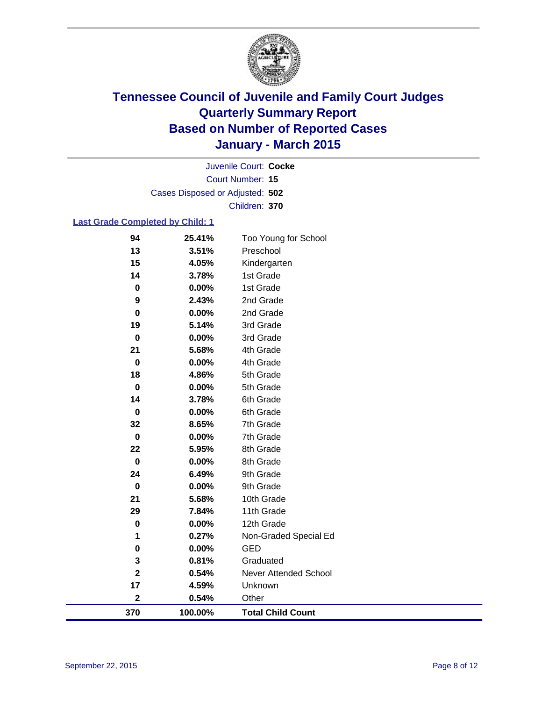

Court Number: **15** Juvenile Court: **Cocke** Cases Disposed or Adjusted: **502** Children: **370**

### **Last Grade Completed by Child: 1**

| 94                      | 25.41%  | Too Young for School     |
|-------------------------|---------|--------------------------|
| 13                      | 3.51%   | Preschool                |
| 15                      | 4.05%   | Kindergarten             |
| 14                      | 3.78%   | 1st Grade                |
| $\pmb{0}$               | 0.00%   | 1st Grade                |
| 9                       | 2.43%   | 2nd Grade                |
| 0                       | 0.00%   | 2nd Grade                |
| 19                      | 5.14%   | 3rd Grade                |
| $\mathbf 0$             | 0.00%   | 3rd Grade                |
| 21                      | 5.68%   | 4th Grade                |
| $\mathbf 0$             | 0.00%   | 4th Grade                |
| 18                      | 4.86%   | 5th Grade                |
| $\pmb{0}$               | 0.00%   | 5th Grade                |
| 14                      | 3.78%   | 6th Grade                |
| $\pmb{0}$               | 0.00%   | 6th Grade                |
| 32                      | 8.65%   | 7th Grade                |
| $\pmb{0}$               | 0.00%   | 7th Grade                |
| 22                      | 5.95%   | 8th Grade                |
| $\mathbf 0$             | 0.00%   | 8th Grade                |
| 24                      | 6.49%   | 9th Grade                |
| $\mathbf 0$             | 0.00%   | 9th Grade                |
| 21                      | 5.68%   | 10th Grade               |
| 29                      | 7.84%   | 11th Grade               |
| $\bf{0}$                | 0.00%   | 12th Grade               |
| 1                       | 0.27%   | Non-Graded Special Ed    |
| $\pmb{0}$               | 0.00%   | <b>GED</b>               |
| 3                       | 0.81%   | Graduated                |
| $\overline{\mathbf{2}}$ | 0.54%   | Never Attended School    |
| 17                      | 4.59%   | Unknown                  |
| $\mathbf 2$             | 0.54%   | Other                    |
| 370                     | 100.00% | <b>Total Child Count</b> |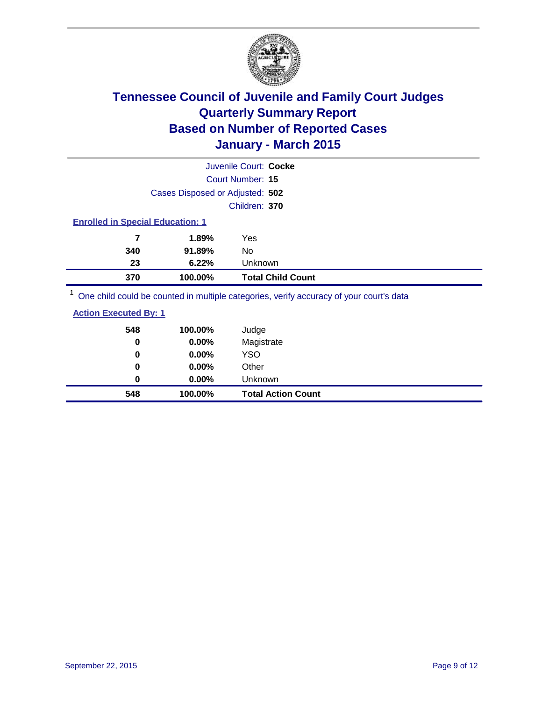

|                                                                                         |                                 | Juvenile Court: Cocke    |  |  |
|-----------------------------------------------------------------------------------------|---------------------------------|--------------------------|--|--|
|                                                                                         |                                 | Court Number: 15         |  |  |
|                                                                                         | Cases Disposed or Adjusted: 502 |                          |  |  |
|                                                                                         |                                 | Children: 370            |  |  |
| <b>Enrolled in Special Education: 1</b>                                                 |                                 |                          |  |  |
| 7                                                                                       | 1.89%                           | Yes                      |  |  |
| 340                                                                                     | 91.89%                          | No                       |  |  |
| 23<br>Unknown<br>6.22%                                                                  |                                 |                          |  |  |
| 370                                                                                     | 100.00%                         | <b>Total Child Count</b> |  |  |
| One child could be counted in multiple categories, verify accuracy of your court's data |                                 |                          |  |  |

| <b>Action Executed By: 1</b> |
|------------------------------|
|------------------------------|

| 548<br>0 | 100.00%<br>0.00% | Judge<br>Magistrate       |
|----------|------------------|---------------------------|
| 0        | 0.00%            | <b>YSO</b>                |
| 0        | 0.00%            | Other                     |
| 0        | 0.00%            | Unknown                   |
| 548      | 100.00%          | <b>Total Action Count</b> |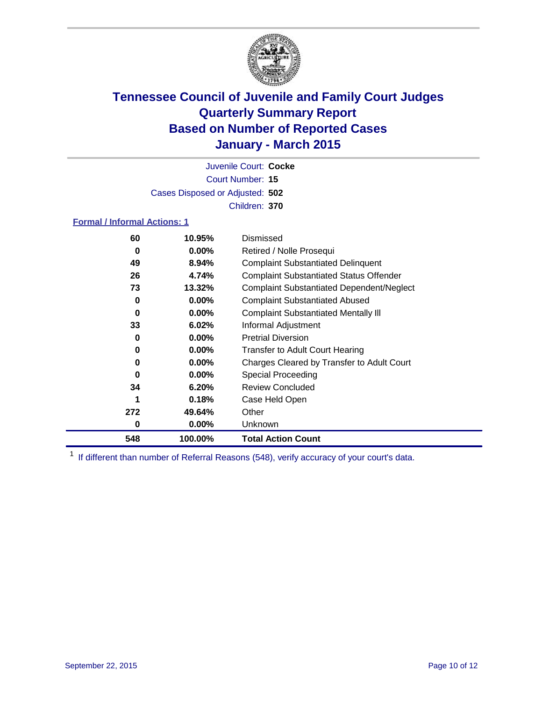

Court Number: **15** Juvenile Court: **Cocke** Cases Disposed or Adjusted: **502** Children: **370**

### **Formal / Informal Actions: 1**

| 60  | 10.95%   | Dismissed                                        |
|-----|----------|--------------------------------------------------|
| 0   | 0.00%    | Retired / Nolle Prosequi                         |
| 49  | 8.94%    | <b>Complaint Substantiated Delinquent</b>        |
| 26  | 4.74%    | <b>Complaint Substantiated Status Offender</b>   |
| 73  | 13.32%   | <b>Complaint Substantiated Dependent/Neglect</b> |
| 0   | $0.00\%$ | <b>Complaint Substantiated Abused</b>            |
| 0   | $0.00\%$ | <b>Complaint Substantiated Mentally III</b>      |
| 33  | 6.02%    | Informal Adjustment                              |
| 0   | $0.00\%$ | <b>Pretrial Diversion</b>                        |
| 0   | $0.00\%$ | <b>Transfer to Adult Court Hearing</b>           |
| 0   | $0.00\%$ | Charges Cleared by Transfer to Adult Court       |
| 0   | $0.00\%$ | Special Proceeding                               |
| 34  | 6.20%    | <b>Review Concluded</b>                          |
|     | 0.18%    | Case Held Open                                   |
| 272 | 49.64%   | Other                                            |
| 0   | $0.00\%$ | <b>Unknown</b>                                   |
| 548 | 100.00%  | <b>Total Action Count</b>                        |

<sup>1</sup> If different than number of Referral Reasons (548), verify accuracy of your court's data.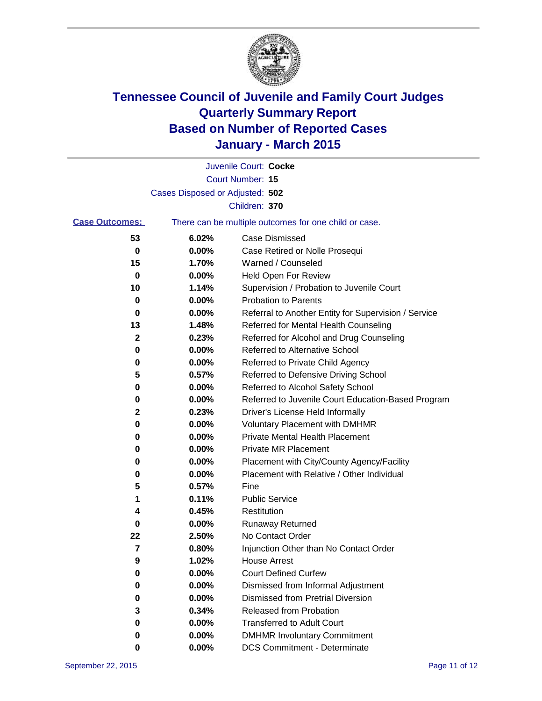

|                       |                                 | Juvenile Court: Cocke                                 |
|-----------------------|---------------------------------|-------------------------------------------------------|
|                       |                                 | <b>Court Number: 15</b>                               |
|                       | Cases Disposed or Adjusted: 502 |                                                       |
|                       |                                 | Children: 370                                         |
| <b>Case Outcomes:</b> |                                 | There can be multiple outcomes for one child or case. |
| 53                    | 6.02%                           | Case Dismissed                                        |
| 0                     | 0.00%                           | Case Retired or Nolle Prosequi                        |
| 15                    | 1.70%                           | Warned / Counseled                                    |
| 0                     | 0.00%                           | <b>Held Open For Review</b>                           |
| 10                    | 1.14%                           | Supervision / Probation to Juvenile Court             |
| 0                     | 0.00%                           | <b>Probation to Parents</b>                           |
| 0                     | 0.00%                           | Referral to Another Entity for Supervision / Service  |
| 13                    | 1.48%                           | Referred for Mental Health Counseling                 |
| 2                     | 0.23%                           | Referred for Alcohol and Drug Counseling              |
| 0                     | 0.00%                           | Referred to Alternative School                        |
| 0                     | 0.00%                           | Referred to Private Child Agency                      |
| 5                     | 0.57%                           | Referred to Defensive Driving School                  |
| 0                     | 0.00%                           | Referred to Alcohol Safety School                     |
| 0                     | 0.00%                           | Referred to Juvenile Court Education-Based Program    |
| 2                     | 0.23%                           | Driver's License Held Informally                      |
| 0                     | 0.00%                           | <b>Voluntary Placement with DMHMR</b>                 |
| 0                     | 0.00%                           | <b>Private Mental Health Placement</b>                |
| 0                     | 0.00%                           | Private MR Placement                                  |
| 0                     | 0.00%                           | Placement with City/County Agency/Facility            |
| 0                     | 0.00%                           | Placement with Relative / Other Individual            |
| 5                     | 0.57%                           | Fine                                                  |
| 1                     | 0.11%                           | <b>Public Service</b>                                 |
| 4                     | 0.45%                           | Restitution                                           |
| 0                     | 0.00%                           | <b>Runaway Returned</b>                               |
| 22                    | 2.50%                           | No Contact Order                                      |
| 7                     | 0.80%                           | Injunction Other than No Contact Order                |
| 9                     | 1.02%                           | House Arrest                                          |
| 0                     | 0.00%                           | <b>Court Defined Curfew</b>                           |
| 0                     | 0.00%                           | Dismissed from Informal Adjustment                    |
| 0                     | 0.00%                           | <b>Dismissed from Pretrial Diversion</b>              |
| 3                     | 0.34%                           | Released from Probation                               |
| 0                     | 0.00%                           | <b>Transferred to Adult Court</b>                     |
| 0                     | 0.00%                           | <b>DMHMR Involuntary Commitment</b>                   |
| 0                     | $0.00\%$                        | <b>DCS Commitment - Determinate</b>                   |